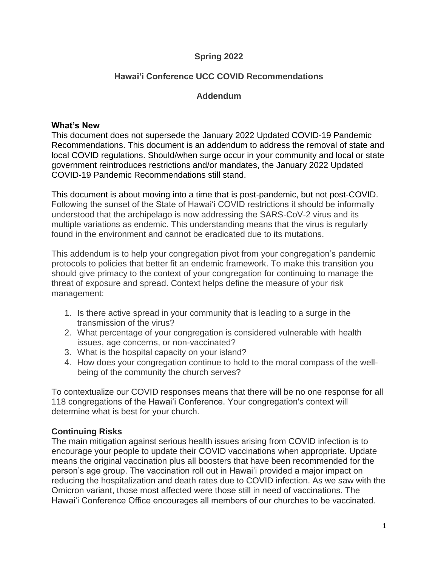### **Spring 2022**

# **Hawai'i Conference UCC COVID Recommendations**

### **Addendum**

#### **What's New**

This document does not supersede the January 2022 Updated COVID-19 Pandemic Recommendations. This document is an addendum to address the removal of state and local COVID regulations. Should/when surge occur in your community and local or state government reintroduces restrictions and/or mandates, the January 2022 Updated COVID-19 Pandemic Recommendations still stand.

This document is about moving into a time that is post-pandemic, but not post-COVID. Following the sunset of the State of Hawai'i COVID restrictions it should be informally understood that the archipelago is now addressing the SARS-CoV-2 virus and its multiple variations as endemic. This understanding means that the virus is regularly found in the environment and cannot be eradicated due to its mutations.

This addendum is to help your congregation pivot from your congregation's pandemic protocols to policies that better fit an endemic framework. To make this transition you should give primacy to the context of your congregation for continuing to manage the threat of exposure and spread. Context helps define the measure of your risk management:

- 1. Is there active spread in your community that is leading to a surge in the transmission of the virus?
- 2. What percentage of your congregation is considered vulnerable with health issues, age concerns, or non-vaccinated?
- 3. What is the hospital capacity on your island?
- 4. How does your congregation continue to hold to the moral compass of the wellbeing of the community the church serves?

To contextualize our COVID responses means that there will be no one response for all 118 congregations of the Hawai'i Conference. Your congregation's context will determine what is best for your church.

### **Continuing Risks**

The main mitigation against serious health issues arising from COVID infection is to encourage your people to update their COVID vaccinations when appropriate. Update means the original vaccination plus all boosters that have been recommended for the person's age group. The vaccination roll out in Hawai'i provided a major impact on reducing the hospitalization and death rates due to COVID infection. As we saw with the Omicron variant, those most affected were those still in need of vaccinations. The Hawai'i Conference Office encourages all members of our churches to be vaccinated.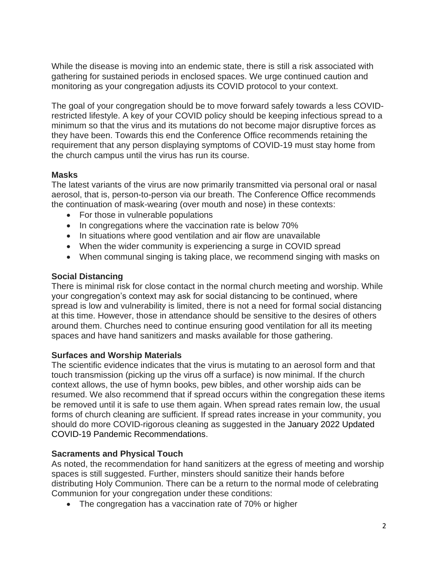While the disease is moving into an endemic state, there is still a risk associated with gathering for sustained periods in enclosed spaces. We urge continued caution and monitoring as your congregation adjusts its COVID protocol to your context.

The goal of your congregation should be to move forward safely towards a less COVIDrestricted lifestyle. A key of your COVID policy should be keeping infectious spread to a minimum so that the virus and its mutations do not become major disruptive forces as they have been. Towards this end the Conference Office recommends retaining the requirement that any person displaying symptoms of COVID-19 must stay home from the church campus until the virus has run its course.

### **Masks**

The latest variants of the virus are now primarily transmitted via personal oral or nasal aerosol, that is, person-to-person via our breath. The Conference Office recommends the continuation of mask-wearing (over mouth and nose) in these contexts:

- For those in vulnerable populations
- In congregations where the vaccination rate is below 70%
- In situations where good ventilation and air flow are unavailable
- When the wider community is experiencing a surge in COVID spread
- When communal singing is taking place, we recommend singing with masks on

# **Social Distancing**

There is minimal risk for close contact in the normal church meeting and worship. While your congregation's context may ask for social distancing to be continued, where spread is low and vulnerability is limited, there is not a need for formal social distancing at this time. However, those in attendance should be sensitive to the desires of others around them. Churches need to continue ensuring good ventilation for all its meeting spaces and have hand sanitizers and masks available for those gathering.

# **Surfaces and Worship Materials**

The scientific evidence indicates that the virus is mutating to an aerosol form and that touch transmission (picking up the virus off a surface) is now minimal. If the church context allows, the use of hymn books, pew bibles, and other worship aids can be resumed. We also recommend that if spread occurs within the congregation these items be removed until it is safe to use them again. When spread rates remain low, the usual forms of church cleaning are sufficient. If spread rates increase in your community, you should do more COVID-rigorous cleaning as suggested in the January 2022 Updated COVID-19 Pandemic Recommendations.

# **Sacraments and Physical Touch**

As noted, the recommendation for hand sanitizers at the egress of meeting and worship spaces is still suggested. Further, minsters should sanitize their hands before distributing Holy Communion. There can be a return to the normal mode of celebrating Communion for your congregation under these conditions:

• The congregation has a vaccination rate of 70% or higher